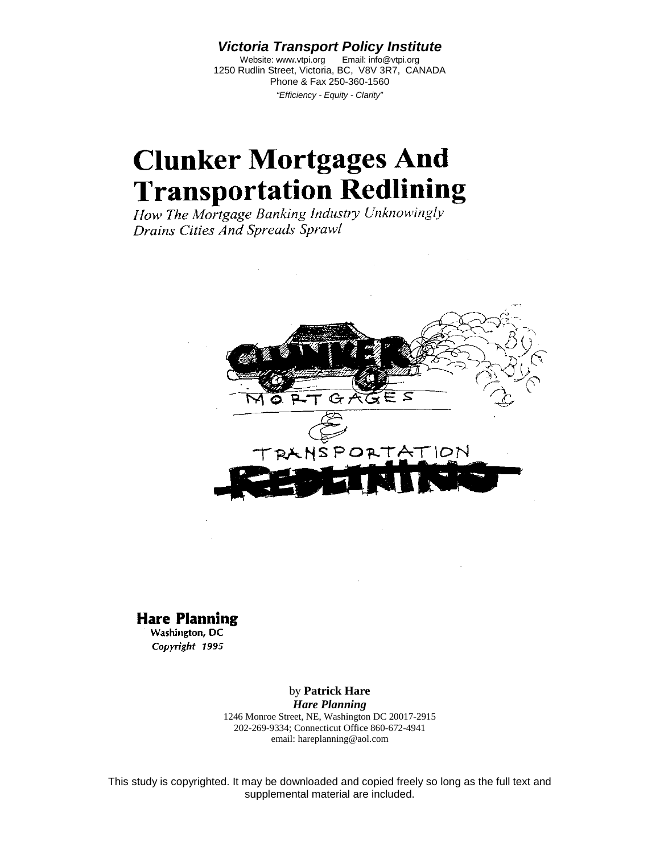*Victoria Transport Policy Institute*

Website: www.vtpi.org Email: info@vtpi.org 1250 Rudlin Street, Victoria, BC, V8V 3R7, CANADA Phone & Fax 250-360-1560 *"Efficiency - Equity - Clarity"*

## **Clunker Mortgages And Transportation Redlining**

How The Mortgage Banking Industry Unknowingly Drains Cities And Spreads Sprawl



#### **Hare Planning**

Washington, DC Copyright 1995

> by **Patrick Hare** *Hare Planning* 1246 Monroe Street, NE, Washington DC 20017-2915 202-269-9334; Connecticut Office 860-672-4941 email: hareplanning@aol.com

This study is copyrighted. It may be downloaded and copied freely so long as the full text and supplemental material are included.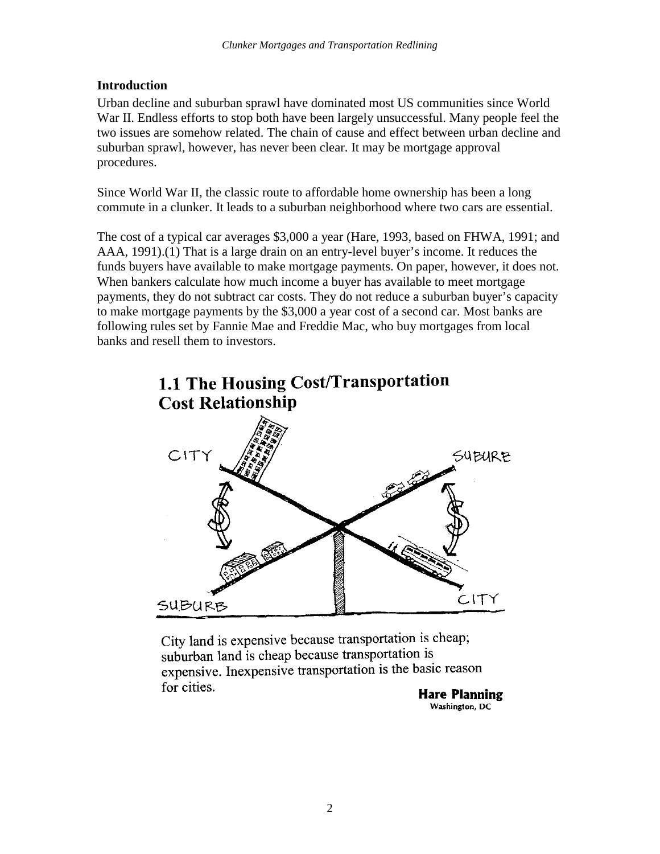#### **Introduction**

Urban decline and suburban sprawl have dominated most US communities since World War II. Endless efforts to stop both have been largely unsuccessful. Many people feel the two issues are somehow related. The chain of cause and effect between urban decline and suburban sprawl, however, has never been clear. It may be mortgage approval procedures.

Since World War II, the classic route to affordable home ownership has been a long commute in a clunker. It leads to a suburban neighborhood where two cars are essential.

The cost of a typical car averages \$3,000 a year (Hare, 1993, based on FHWA, 1991; and AAA, 1991).(1) That is a large drain on an entry-level buyer's income. It reduces the funds buyers have available to make mortgage payments. On paper, however, it does not. When bankers calculate how much income a buyer has available to meet mortgage payments, they do not subtract car costs. They do not reduce a suburban buyer's capacity to make mortgage payments by the \$3,000 a year cost of a second car. Most banks are following rules set by Fannie Mae and Freddie Mac, who buy mortgages from local banks and resell them to investors.



City land is expensive because transportation is cheap; suburban land is cheap because transportation is expensive. Inexpensive transportation is the basic reason for cities.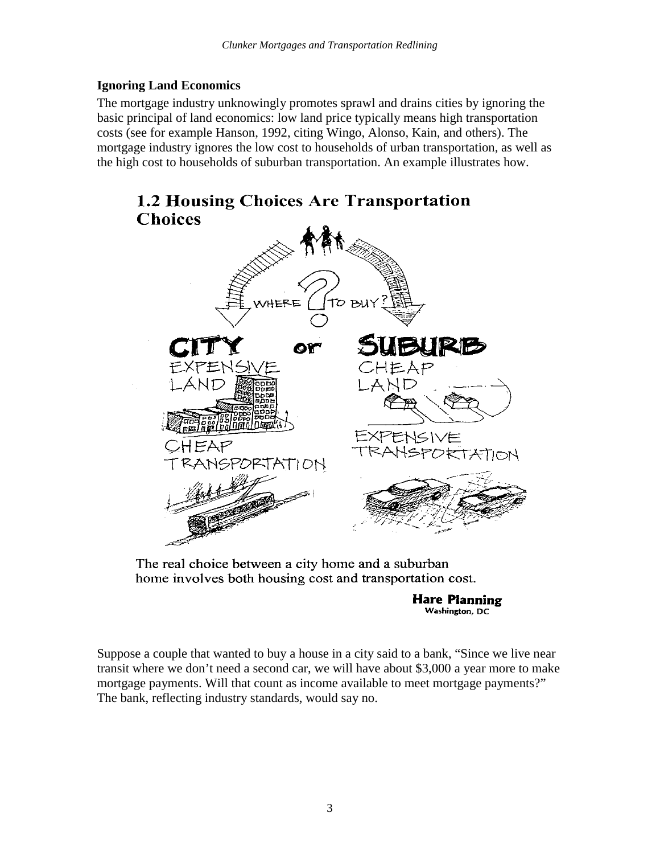#### **Ignoring Land Economics**

The mortgage industry unknowingly promotes sprawl and drains cities by ignoring the basic principal of land economics: low land price typically means high transportation costs (see for example Hanson, 1992, citing Wingo, Alonso, Kain, and others). The mortgage industry ignores the low cost to households of urban transportation, as well as the high cost to households of suburban transportation. An example illustrates how.



The real choice between a city home and a suburban home involves both housing cost and transportation cost.

**Hare Planning** Washington, DC

Suppose a couple that wanted to buy a house in a city said to a bank, "Since we live near transit where we don't need a second car, we will have about \$3,000 a year more to make mortgage payments. Will that count as income available to meet mortgage payments?" The bank, reflecting industry standards, would say no.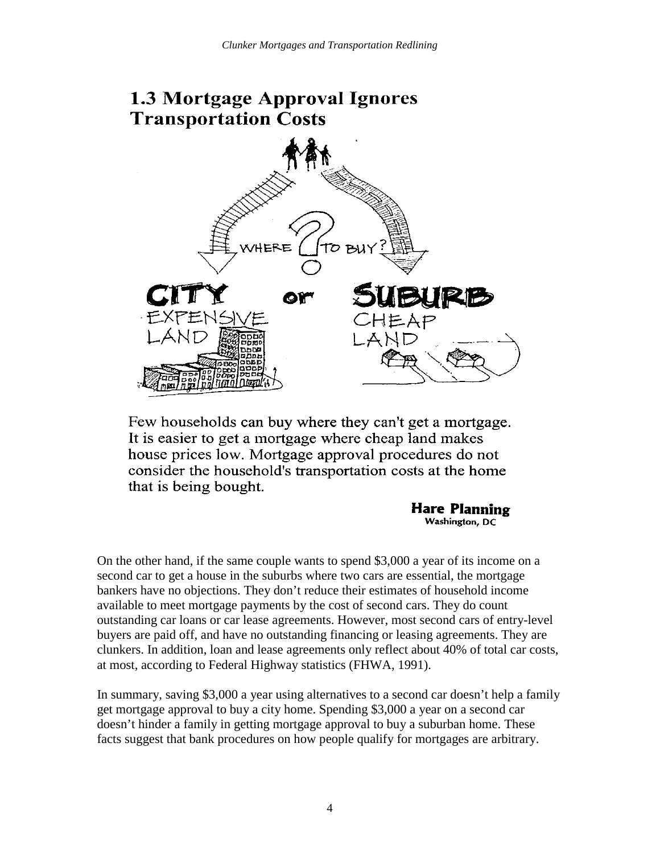# **1.3 Mortgage Approval Ignores Transportation Costs** ERE  $P<sub>1</sub>$

Few households can buy where they can't get a mortgage. It is easier to get a mortgage where cheap land makes house prices low. Mortgage approval procedures do not consider the household's transportation costs at the home that is being bought.

#### Hare Planning Washington, DC

On the other hand, if the same couple wants to spend \$3,000 a year of its income on a second car to get a house in the suburbs where two cars are essential, the mortgage bankers have no objections. They don't reduce their estimates of household income available to meet mortgage payments by the cost of second cars. They do count outstanding car loans or car lease agreements. However, most second cars of entry-level buyers are paid off, and have no outstanding financing or leasing agreements. They are clunkers. In addition, loan and lease agreements only reflect about 40% of total car costs, at most, according to Federal Highway statistics (FHWA, 1991).

In summary, saving \$3,000 a year using alternatives to a second car doesn't help a family get mortgage approval to buy a city home. Spending \$3,000 a year on a second car doesn't hinder a family in getting mortgage approval to buy a suburban home. These facts suggest that bank procedures on how people qualify for mortgages are arbitrary.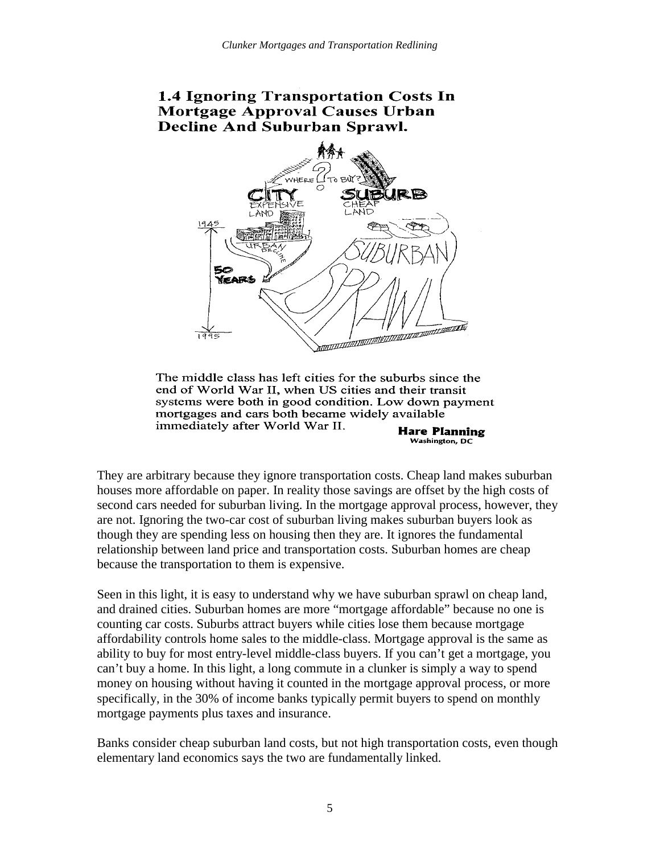#### **1.4 Ignoring Transportation Costs In** Mortgage Approval Causes Urban **Decline And Suburban Sprawl.**



The middle class has left cities for the suburbs since the end of World War II, when US cities and their transit systems were both in good condition. Low down payment mortgages and cars both became widely available immediately after World War II. **Hare Planning** 

Washington, DC

They are arbitrary because they ignore transportation costs. Cheap land makes suburban houses more affordable on paper. In reality those savings are offset by the high costs of second cars needed for suburban living. In the mortgage approval process, however, they are not. Ignoring the two-car cost of suburban living makes suburban buyers look as though they are spending less on housing then they are. It ignores the fundamental relationship between land price and transportation costs. Suburban homes are cheap because the transportation to them is expensive.

Seen in this light, it is easy to understand why we have suburban sprawl on cheap land, and drained cities. Suburban homes are more "mortgage affordable" because no one is counting car costs. Suburbs attract buyers while cities lose them because mortgage affordability controls home sales to the middle-class. Mortgage approval is the same as ability to buy for most entry-level middle-class buyers. If you can't get a mortgage, you can't buy a home. In this light, a long commute in a clunker is simply a way to spend money on housing without having it counted in the mortgage approval process, or more specifically, in the 30% of income banks typically permit buyers to spend on monthly mortgage payments plus taxes and insurance.

Banks consider cheap suburban land costs, but not high transportation costs, even though elementary land economics says the two are fundamentally linked.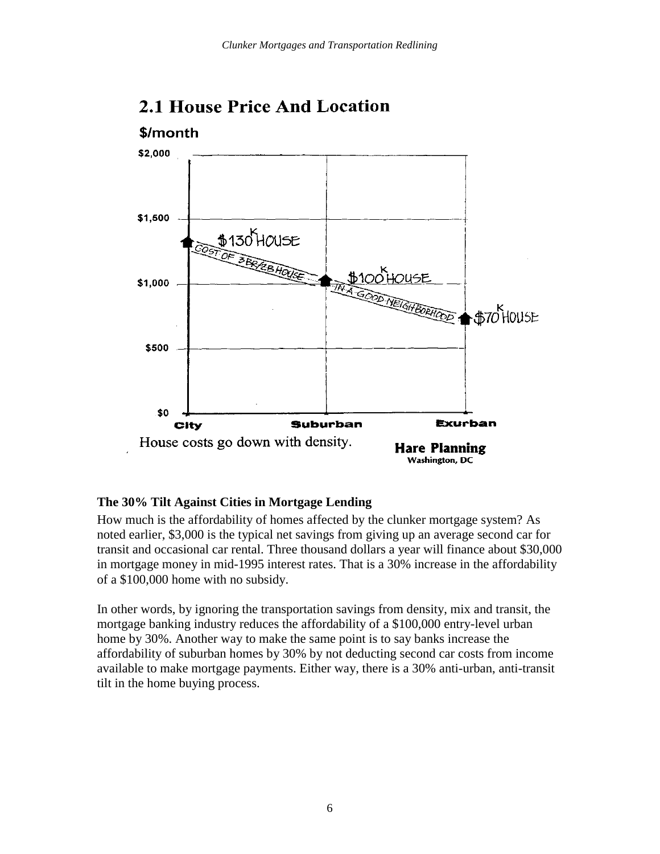

## **2.1 House Price And Location**

#### **The 30% Tilt Against Cities in Mortgage Lending**

How much is the affordability of homes affected by the clunker mortgage system? As noted earlier, \$3,000 is the typical net savings from giving up an average second car for transit and occasional car rental. Three thousand dollars a year will finance about \$30,000 in mortgage money in mid-1995 interest rates. That is a 30% increase in the affordability of a \$100,000 home with no subsidy.

In other words, by ignoring the transportation savings from density, mix and transit, the mortgage banking industry reduces the affordability of a \$100,000 entry-level urban home by 30%. Another way to make the same point is to say banks increase the affordability of suburban homes by 30% by not deducting second car costs from income available to make mortgage payments. Either way, there is a 30% anti-urban, anti-transit tilt in the home buying process.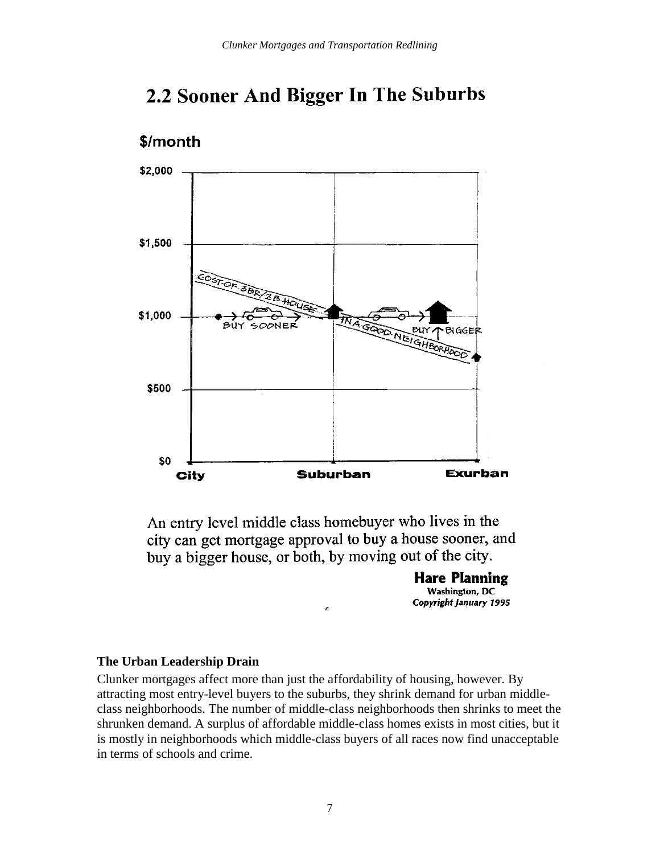## 2.2 Sooner And Bigger In The Suburbs



\$/month

An entry level middle class homebuyer who lives in the city can get mortgage approval to buy a house sooner, and buy a bigger house, or both, by moving out of the city.

> **Hare Planning** Washington, DC Copyright January 1995

#### **The Urban Leadership Drain**

Clunker mortgages affect more than just the affordability of housing, however. By attracting most entry-level buyers to the suburbs, they shrink demand for urban middleclass neighborhoods. The number of middle-class neighborhoods then shrinks to meet the shrunken demand. A surplus of affordable middle-class homes exists in most cities, but it is mostly in neighborhoods which middle-class buyers of all races now find unacceptable in terms of schools and crime.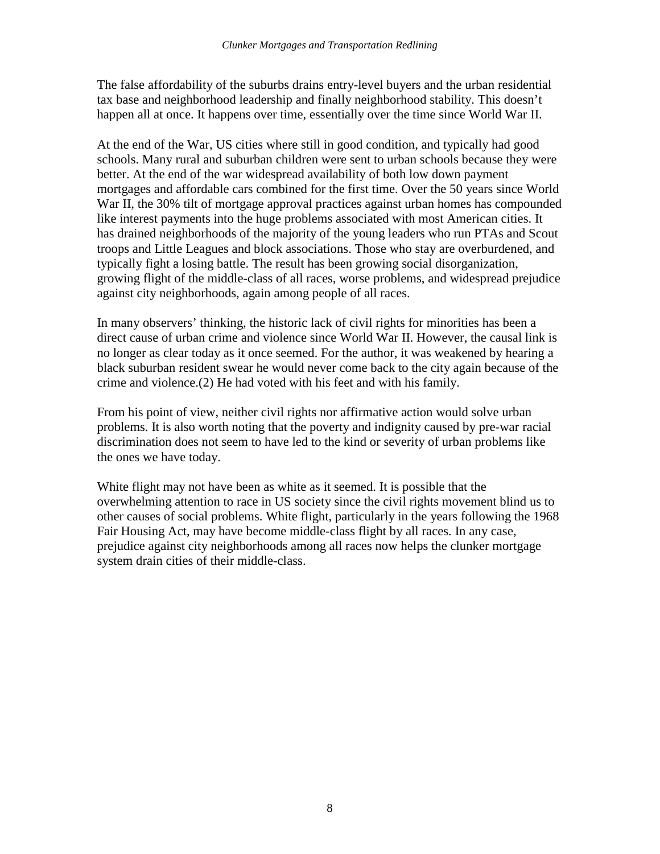The false affordability of the suburbs drains entry-level buyers and the urban residential tax base and neighborhood leadership and finally neighborhood stability. This doesn't happen all at once. It happens over time, essentially over the time since World War II.

At the end of the War, US cities where still in good condition, and typically had good schools. Many rural and suburban children were sent to urban schools because they were better. At the end of the war widespread availability of both low down payment mortgages and affordable cars combined for the first time. Over the 50 years since World War II, the 30% tilt of mortgage approval practices against urban homes has compounded like interest payments into the huge problems associated with most American cities. It has drained neighborhoods of the majority of the young leaders who run PTAs and Scout troops and Little Leagues and block associations. Those who stay are overburdened, and typically fight a losing battle. The result has been growing social disorganization, growing flight of the middle-class of all races, worse problems, and widespread prejudice against city neighborhoods, again among people of all races.

In many observers' thinking, the historic lack of civil rights for minorities has been a direct cause of urban crime and violence since World War II. However, the causal link is no longer as clear today as it once seemed. For the author, it was weakened by hearing a black suburban resident swear he would never come back to the city again because of the crime and violence.(2) He had voted with his feet and with his family.

From his point of view, neither civil rights nor affirmative action would solve urban problems. It is also worth noting that the poverty and indignity caused by pre-war racial discrimination does not seem to have led to the kind or severity of urban problems like the ones we have today.

White flight may not have been as white as it seemed. It is possible that the overwhelming attention to race in US society since the civil rights movement blind us to other causes of social problems. White flight, particularly in the years following the 1968 Fair Housing Act, may have become middle-class flight by all races. In any case, prejudice against city neighborhoods among all races now helps the clunker mortgage system drain cities of their middle-class.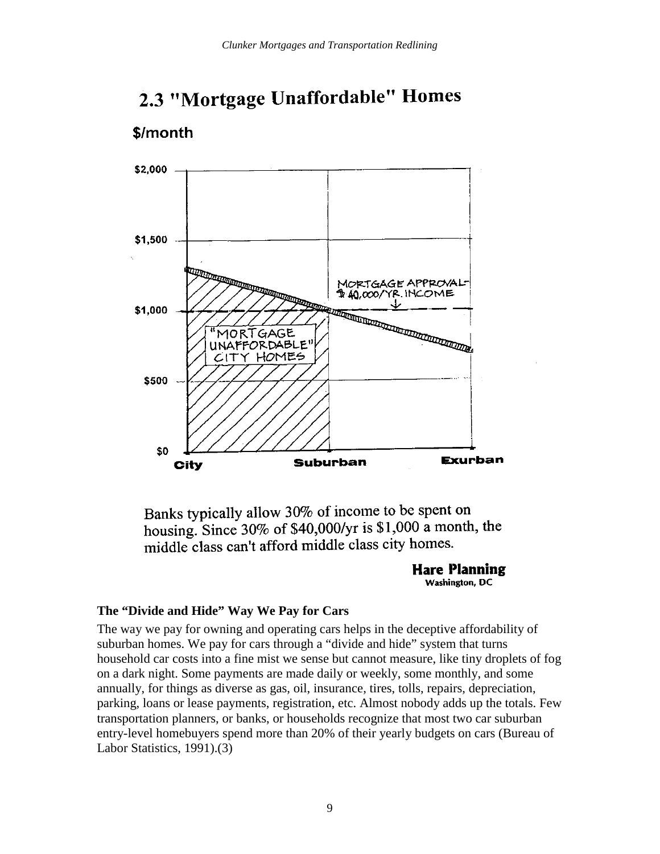

## 2.3 "Mortgage Unaffordable" Homes

\$/month

Banks typically allow 30% of income to be spent on housing. Since 30% of \$40,000/yr is \$1,000 a month, the middle class can't afford middle class city homes.

#### **Hare Planning** Washington, DC

#### **The "Divide and Hide" Way We Pay for Cars**

The way we pay for owning and operating cars helps in the deceptive affordability of suburban homes. We pay for cars through a "divide and hide" system that turns household car costs into a fine mist we sense but cannot measure, like tiny droplets of fog on a dark night. Some payments are made daily or weekly, some monthly, and some annually, for things as diverse as gas, oil, insurance, tires, tolls, repairs, depreciation, parking, loans or lease payments, registration, etc. Almost nobody adds up the totals. Few transportation planners, or banks, or households recognize that most two car suburban entry-level homebuyers spend more than 20% of their yearly budgets on cars (Bureau of Labor Statistics, 1991).(3)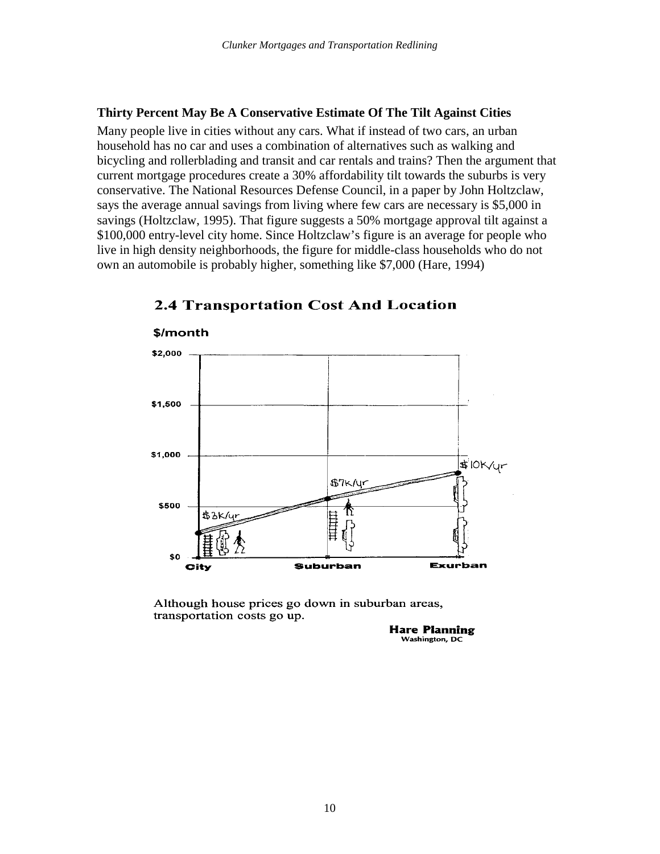#### **Thirty Percent May Be A Conservative Estimate Of The Tilt Against Cities**

Many people live in cities without any cars. What if instead of two cars, an urban household has no car and uses a combination of alternatives such as walking and bicycling and rollerblading and transit and car rentals and trains? Then the argument that current mortgage procedures create a 30% affordability tilt towards the suburbs is very conservative. The National Resources Defense Council, in a paper by John Holtzclaw, says the average annual savings from living where few cars are necessary is \$5,000 in savings (Holtzclaw, 1995). That figure suggests a 50% mortgage approval tilt against a \$100,000 entry-level city home. Since Holtzclaw's figure is an average for people who live in high density neighborhoods, the figure for middle-class households who do not own an automobile is probably higher, something like \$7,000 (Hare, 1994)



#### **2.4 Transportation Cost And Location**

Although house prices go down in suburban areas, transportation costs go up.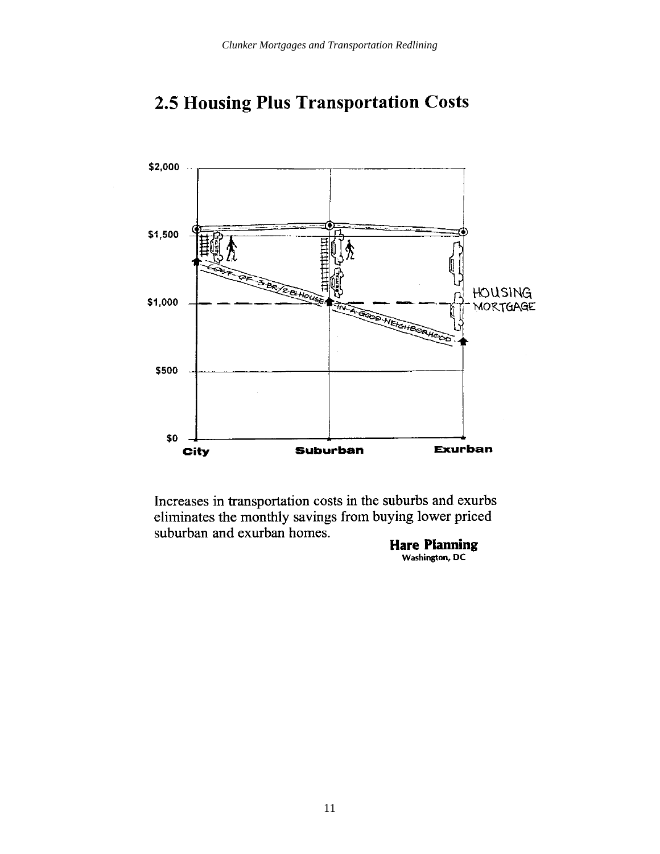



Increases in transportation costs in the suburbs and exurbs eliminates the monthly savings from buying lower priced suburban and exurban homes.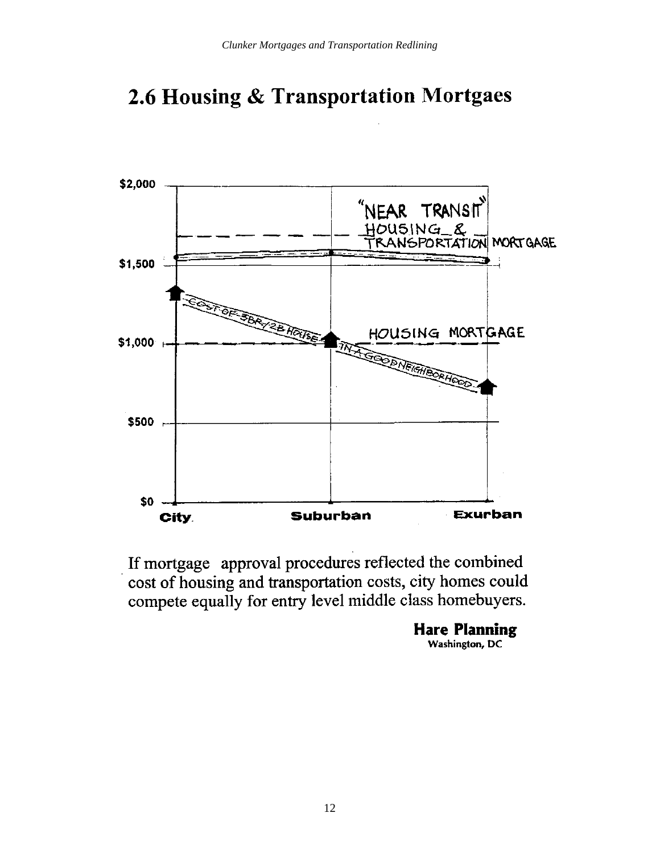## 2.6 Housing & Transportation Mortgaes



If mortgage approval procedures reflected the combined cost of housing and transportation costs, city homes could compete equally for entry level middle class homebuyers.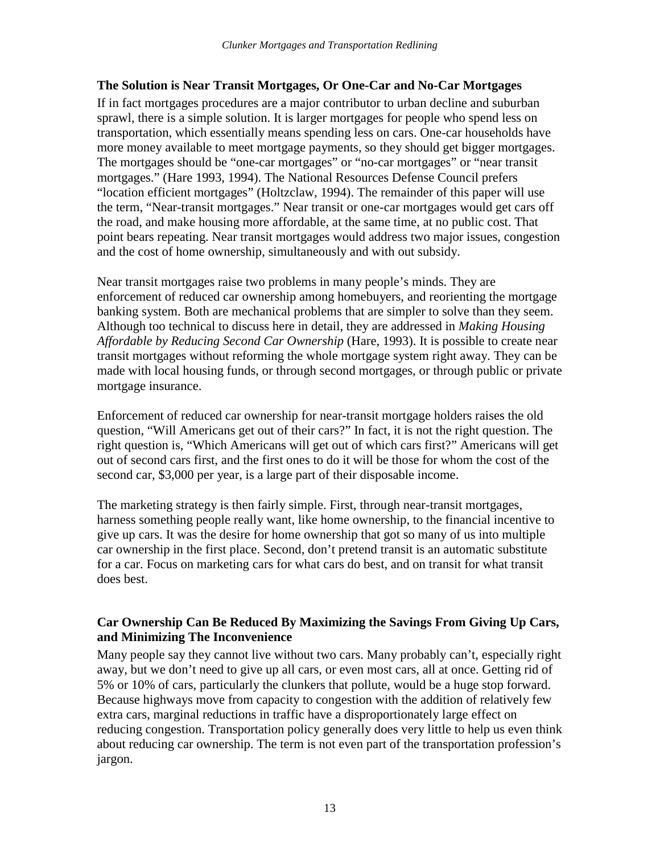#### **The Solution is Near Transit Mortgages, Or One-Car and No-Car Mortgages**

If in fact mortgages procedures are a major contributor to urban decline and suburban sprawl, there is a simple solution. It is larger mortgages for people who spend less on transportation, which essentially means spending less on cars. One-car households have more money available to meet mortgage payments, so they should get bigger mortgages. The mortgages should be "one-car mortgages" or "no-car mortgages" or "near transit mortgages." (Hare 1993, 1994). The National Resources Defense Council prefers "location efficient mortgages" (Holtzclaw, 1994). The remainder of this paper will use the term, "Near-transit mortgages." Near transit or one-car mortgages would get cars off the road, and make housing more affordable, at the same time, at no public cost. That point bears repeating. Near transit mortgages would address two major issues, congestion and the cost of home ownership, simultaneously and with out subsidy.

Near transit mortgages raise two problems in many people's minds. They are enforcement of reduced car ownership among homebuyers, and reorienting the mortgage banking system. Both are mechanical problems that are simpler to solve than they seem. Although too technical to discuss here in detail, they are addressed in *Making Housing Affordable by Reducing Second Car Ownership* (Hare, 1993). It is possible to create near transit mortgages without reforming the whole mortgage system right away. They can be made with local housing funds, or through second mortgages, or through public or private mortgage insurance.

Enforcement of reduced car ownership for near-transit mortgage holders raises the old question, "Will Americans get out of their cars?" In fact, it is not the right question. The right question is, "Which Americans will get out of which cars first?" Americans will get out of second cars first, and the first ones to do it will be those for whom the cost of the second car, \$3,000 per year, is a large part of their disposable income.

The marketing strategy is then fairly simple. First, through near-transit mortgages, harness something people really want, like home ownership, to the financial incentive to give up cars. It was the desire for home ownership that got so many of us into multiple car ownership in the first place. Second, don't pretend transit is an automatic substitute for a car. Focus on marketing cars for what cars do best, and on transit for what transit does best.

#### **Car Ownership Can Be Reduced By Maximizing the Savings From Giving Up Cars, and Minimizing The Inconvenience**

Many people say they cannot live without two cars. Many probably can't, especially right away, but we don't need to give up all cars, or even most cars, all at once. Getting rid of 5% or 10% of cars, particularly the clunkers that pollute, would be a huge stop forward. Because highways move from capacity to congestion with the addition of relatively few extra cars, marginal reductions in traffic have a disproportionately large effect on reducing congestion. Transportation policy generally does very little to help us even think about reducing car ownership. The term is not even part of the transportation profession's jargon.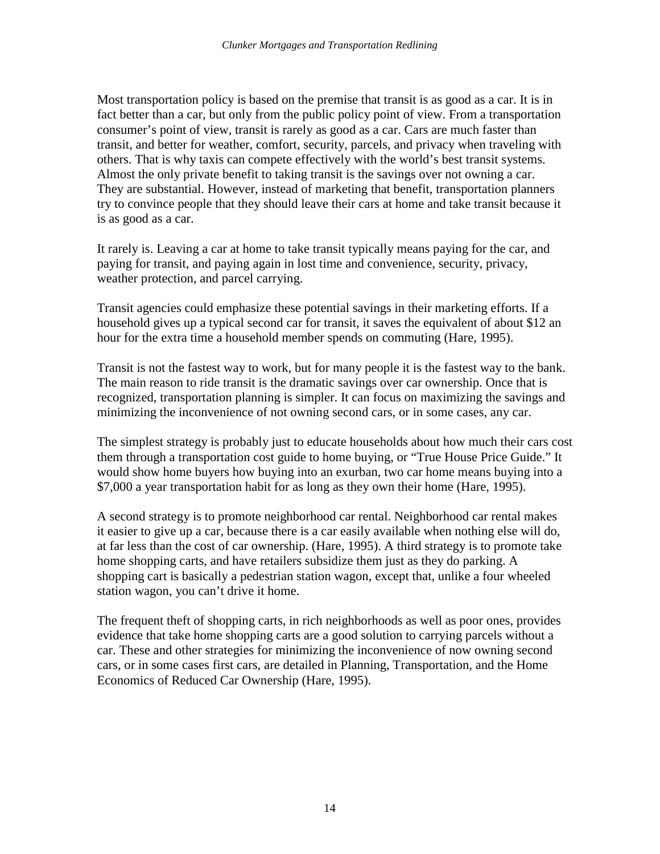Most transportation policy is based on the premise that transit is as good as a car. It is in fact better than a car, but only from the public policy point of view. From a transportation consumer's point of view, transit is rarely as good as a car. Cars are much faster than transit, and better for weather, comfort, security, parcels, and privacy when traveling with others. That is why taxis can compete effectively with the world's best transit systems. Almost the only private benefit to taking transit is the savings over not owning a car. They are substantial. However, instead of marketing that benefit, transportation planners try to convince people that they should leave their cars at home and take transit because it is as good as a car.

It rarely is. Leaving a car at home to take transit typically means paying for the car, and paying for transit, and paying again in lost time and convenience, security, privacy, weather protection, and parcel carrying.

Transit agencies could emphasize these potential savings in their marketing efforts. If a household gives up a typical second car for transit, it saves the equivalent of about \$12 an hour for the extra time a household member spends on commuting (Hare, 1995).

Transit is not the fastest way to work, but for many people it is the fastest way to the bank. The main reason to ride transit is the dramatic savings over car ownership. Once that is recognized, transportation planning is simpler. It can focus on maximizing the savings and minimizing the inconvenience of not owning second cars, or in some cases, any car.

The simplest strategy is probably just to educate households about how much their cars cost them through a transportation cost guide to home buying, or "True House Price Guide." It would show home buyers how buying into an exurban, two car home means buying into a \$7,000 a year transportation habit for as long as they own their home (Hare, 1995).

A second strategy is to promote neighborhood car rental. Neighborhood car rental makes it easier to give up a car, because there is a car easily available when nothing else will do, at far less than the cost of car ownership. (Hare, 1995). A third strategy is to promote take home shopping carts, and have retailers subsidize them just as they do parking. A shopping cart is basically a pedestrian station wagon, except that, unlike a four wheeled station wagon, you can't drive it home.

The frequent theft of shopping carts, in rich neighborhoods as well as poor ones, provides evidence that take home shopping carts are a good solution to carrying parcels without a car. These and other strategies for minimizing the inconvenience of now owning second cars, or in some cases first cars, are detailed in Planning, Transportation, and the Home Economics of Reduced Car Ownership (Hare, 1995).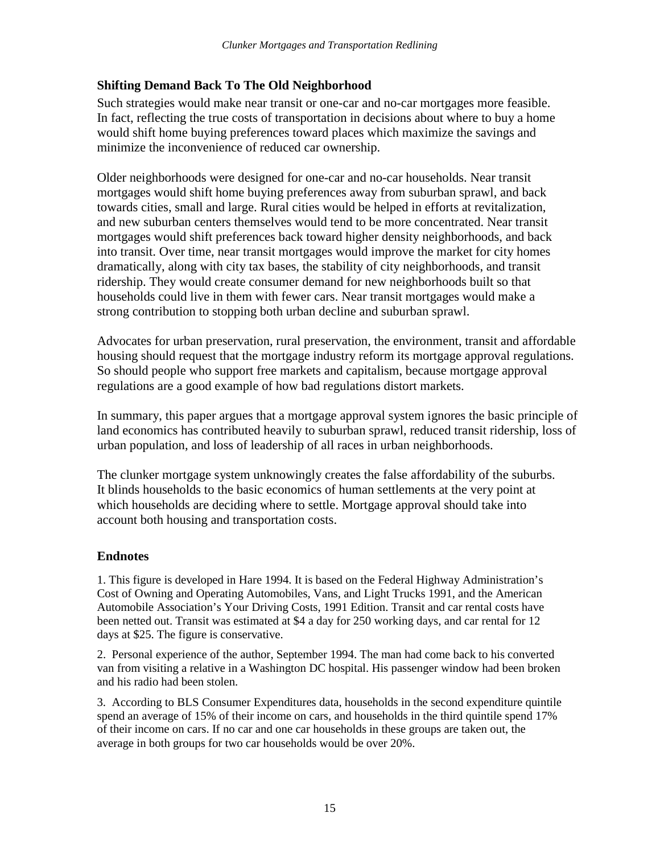#### **Shifting Demand Back To The Old Neighborhood**

Such strategies would make near transit or one-car and no-car mortgages more feasible. In fact, reflecting the true costs of transportation in decisions about where to buy a home would shift home buying preferences toward places which maximize the savings and minimize the inconvenience of reduced car ownership.

Older neighborhoods were designed for one-car and no-car households. Near transit mortgages would shift home buying preferences away from suburban sprawl, and back towards cities, small and large. Rural cities would be helped in efforts at revitalization, and new suburban centers themselves would tend to be more concentrated. Near transit mortgages would shift preferences back toward higher density neighborhoods, and back into transit. Over time, near transit mortgages would improve the market for city homes dramatically, along with city tax bases, the stability of city neighborhoods, and transit ridership. They would create consumer demand for new neighborhoods built so that households could live in them with fewer cars. Near transit mortgages would make a strong contribution to stopping both urban decline and suburban sprawl.

Advocates for urban preservation, rural preservation, the environment, transit and affordable housing should request that the mortgage industry reform its mortgage approval regulations. So should people who support free markets and capitalism, because mortgage approval regulations are a good example of how bad regulations distort markets.

In summary, this paper argues that a mortgage approval system ignores the basic principle of land economics has contributed heavily to suburban sprawl, reduced transit ridership, loss of urban population, and loss of leadership of all races in urban neighborhoods.

The clunker mortgage system unknowingly creates the false affordability of the suburbs. It blinds households to the basic economics of human settlements at the very point at which households are deciding where to settle. Mortgage approval should take into account both housing and transportation costs.

#### **Endnotes**

1. This figure is developed in Hare 1994. It is based on the Federal Highway Administration's Cost of Owning and Operating Automobiles, Vans, and Light Trucks 1991, and the American Automobile Association's Your Driving Costs, 1991 Edition. Transit and car rental costs have been netted out. Transit was estimated at \$4 a day for 250 working days, and car rental for 12 days at \$25. The figure is conservative.

2. Personal experience of the author, September 1994. The man had come back to his converted van from visiting a relative in a Washington DC hospital. His passenger window had been broken and his radio had been stolen.

3. According to BLS Consumer Expenditures data, households in the second expenditure quintile spend an average of 15% of their income on cars, and households in the third quintile spend 17% of their income on cars. If no car and one car households in these groups are taken out, the average in both groups for two car households would be over 20%.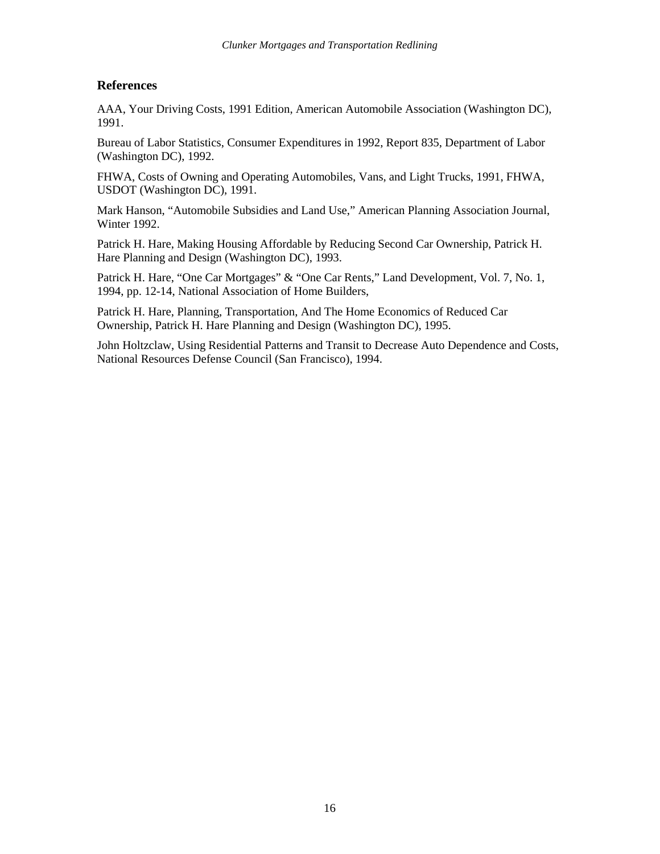#### **References**

AAA, Your Driving Costs, 1991 Edition, American Automobile Association (Washington DC), 1991.

Bureau of Labor Statistics, Consumer Expenditures in 1992, Report 835, Department of Labor (Washington DC), 1992.

FHWA, Costs of Owning and Operating Automobiles, Vans, and Light Trucks, 1991, FHWA, USDOT (Washington DC), 1991.

Mark Hanson, "Automobile Subsidies and Land Use," American Planning Association Journal, Winter 1992.

Patrick H. Hare, Making Housing Affordable by Reducing Second Car Ownership, Patrick H. Hare Planning and Design (Washington DC), 1993.

Patrick H. Hare, "One Car Mortgages" & "One Car Rents," Land Development, Vol. 7, No. 1, 1994, pp. 12-14, National Association of Home Builders,

Patrick H. Hare, Planning, Transportation, And The Home Economics of Reduced Car Ownership, Patrick H. Hare Planning and Design (Washington DC), 1995.

John Holtzclaw, Using Residential Patterns and Transit to Decrease Auto Dependence and Costs, National Resources Defense Council (San Francisco), 1994.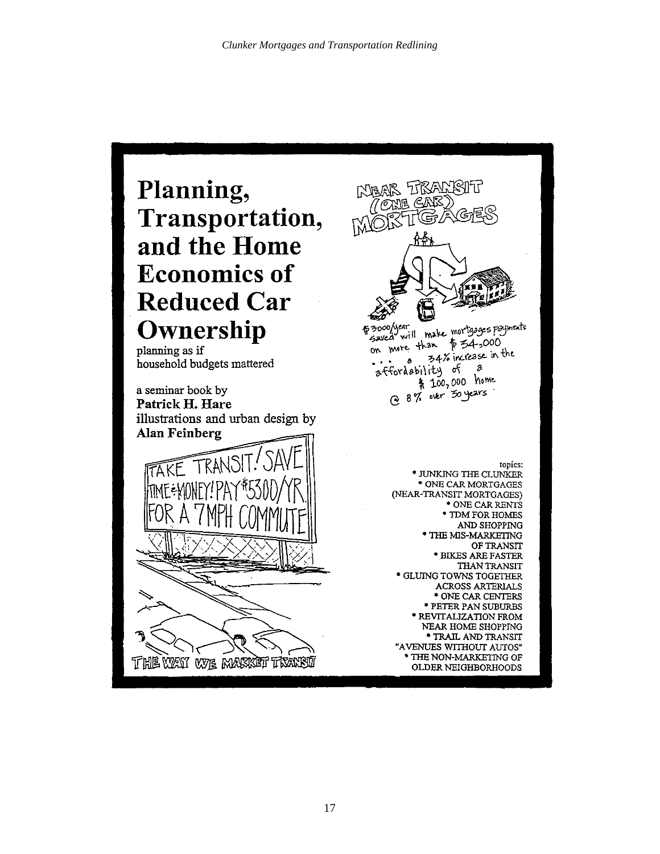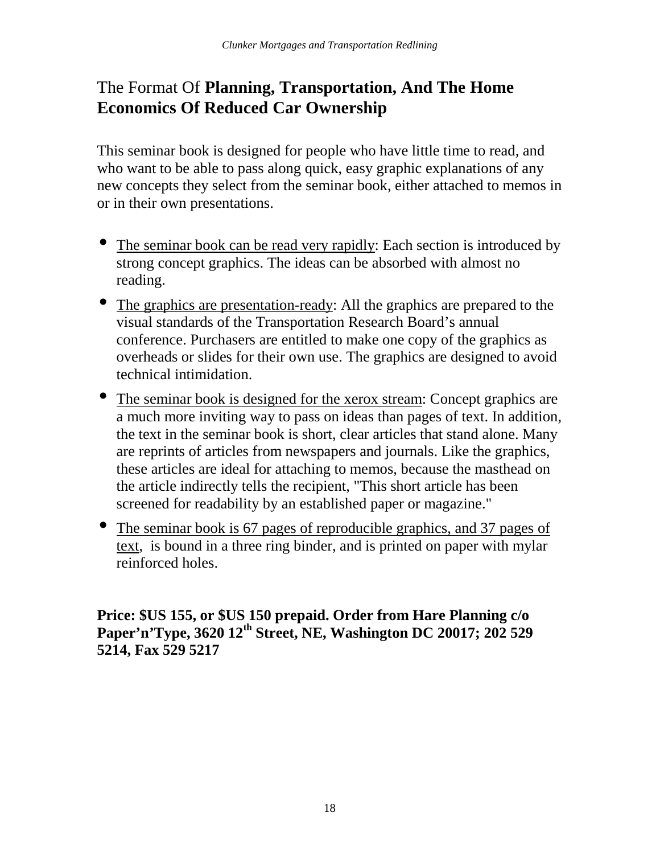## The Format Of **Planning, Transportation, And The Home Economics Of Reduced Car Ownership**

This seminar book is designed for people who have little time to read, and who want to be able to pass along quick, easy graphic explanations of any new concepts they select from the seminar book, either attached to memos in or in their own presentations.

- The seminar book can be read very rapidly: Each section is introduced by strong concept graphics. The ideas can be absorbed with almost no reading.
- The graphics are presentation-ready: All the graphics are prepared to the visual standards of the Transportation Research Board's annual conference. Purchasers are entitled to make one copy of the graphics as overheads or slides for their own use. The graphics are designed to avoid technical intimidation.
- The seminar book is designed for the xerox stream: Concept graphics are a much more inviting way to pass on ideas than pages of text. In addition, the text in the seminar book is short, clear articles that stand alone. Many are reprints of articles from newspapers and journals. Like the graphics, these articles are ideal for attaching to memos, because the masthead on the article indirectly tells the recipient, "This short article has been screened for readability by an established paper or magazine."
- The seminar book is 67 pages of reproducible graphics, and 37 pages of text, is bound in a three ring binder, and is printed on paper with mylar reinforced holes.

**Price: \$US 155, or \$US 150 prepaid. Order from Hare Planning c/o Paper'n'Type, 3620 12th Street, NE, Washington DC 20017; 202 529 5214, Fax 529 5217**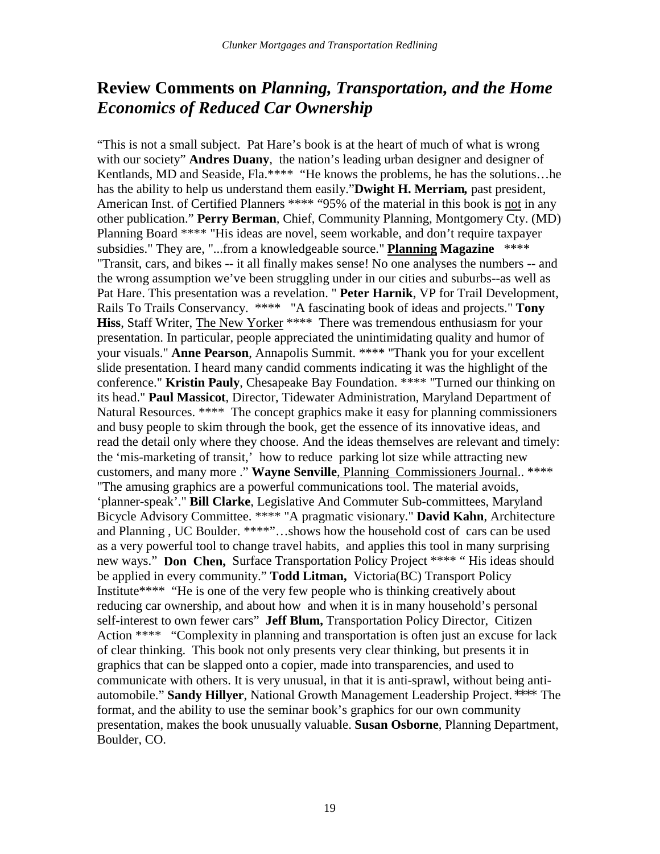### **Review Comments on** *Planning, Transportation, and the Home Economics of Reduced Car Ownership*

"This is not a small subject. Pat Hare's book is at the heart of much of what is wrong with our society" **Andres Duany***,* the nation's leading urban designer and designer of Kentlands, MD and Seaside, Fla.\*\*\*\* "He knows the problems, he has the solutions...he has the ability to help us understand them easily."**Dwight H. Merriam***,* past president, American Inst. of Certified Planners \*\*\*\* "95% of the material in this book is not in any other publication." **Perry Berman***,* Chief, Community Planning, Montgomery Cty. (MD) Planning Board \*\*\*\* "His ideas are novel, seem workable, and don't require taxpayer subsidies." They are, "...from a knowledgeable source." **Planning Magazine** \*\*\*\* "Transit, cars, and bikes -- it all finally makes sense! No one analyses the numbers -- and the wrong assumption we've been struggling under in our cities and suburbs--as well as Pat Hare. This presentation was a revelation. " **Peter Harnik**, VP for Trail Development, Rails To Trails Conservancy. \*\*\*\* "A fascinating book of ideas and projects." **Tony Hiss**, Staff Writer, The New Yorker \*\*\*\* There was tremendous enthusiasm for your presentation. In particular, people appreciated the unintimidating quality and humor of your visuals." **Anne Pearson**, Annapolis Summit. \*\*\*\* "Thank you for your excellent slide presentation. I heard many candid comments indicating it was the highlight of the conference." **Kristin Pauly**, Chesapeake Bay Foundation. \*\*\*\* "Turned our thinking on its head." **Paul Massicot**, Director, Tidewater Administration, Maryland Department of Natural Resources. \*\*\*\* The concept graphics make it easy for planning commissioners and busy people to skim through the book, get the essence of its innovative ideas, and read the detail only where they choose. And the ideas themselves are relevant and timely: the 'mis-marketing of transit,' how to reduce parking lot size while attracting new customers, and many more ." **Wayne Senville**, Planning Commissioners Journal.. \*\*\*\* "The amusing graphics are a powerful communications tool. The material avoids, 'planner-speak'." **Bill Clarke**, Legislative And Commuter Sub-committees, Maryland Bicycle Advisory Committee. \*\*\*\* "A pragmatic visionary." **David Kahn**, Architecture and Planning , UC Boulder. \*\*\*\*"…shows how the household cost of cars can be used as a very powerful tool to change travel habits, and applies this tool in many surprising new ways." **Don Chen,** Surface Transportation Policy Project \*\*\*\* " His ideas should be applied in every community." **Todd Litman,** Victoria(BC) Transport Policy Institute\*\*\*\* "He is one of the very few people who is thinking creatively about reducing car ownership, and about how and when it is in many household's personal self-interest to own fewer cars" **Jeff Blum,** Transportation Policy Director, Citizen Action \*\*\*\* "Complexity in planning and transportation is often just an excuse for lack of clear thinking. This book not only presents very clear thinking, but presents it in graphics that can be slapped onto a copier, made into transparencies, and used to communicate with others. It is very unusual, in that it is anti-sprawl, without being antiautomobile." **Sandy Hillyer**, National Growth Management Leadership Project. \*\*\*\* The format, and the ability to use the seminar book's graphics for our own community presentation, makes the book unusually valuable. **Susan Osborne**, Planning Department, Boulder, CO.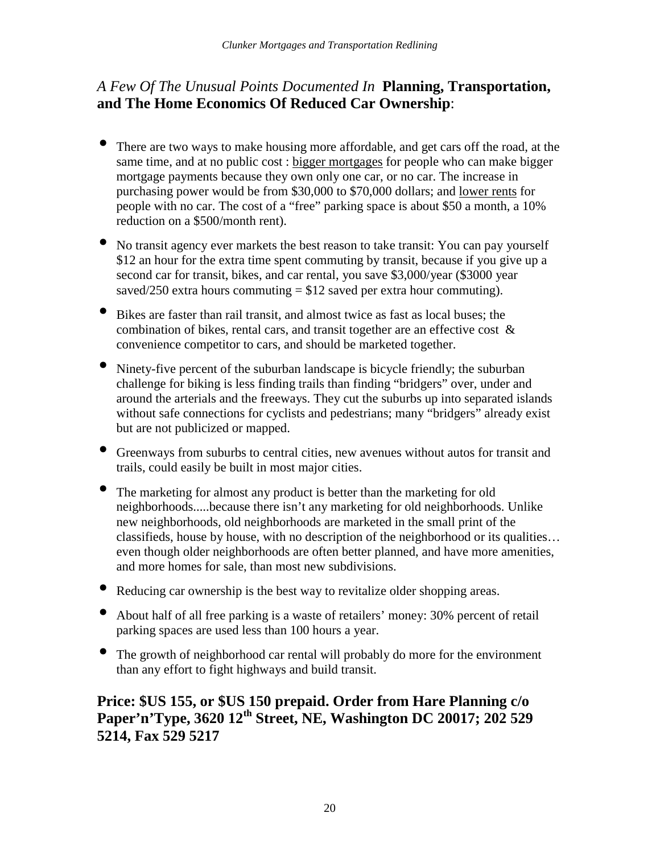#### *A Few Of The Unusual Points Documented In* **Planning, Transportation, and The Home Economics Of Reduced Car Ownership**:

- There are two ways to make housing more affordable, and get cars off the road, at the same time, and at no public cost : bigger mortgages for people who can make bigger mortgage payments because they own only one car, or no car. The increase in purchasing power would be from \$30,000 to \$70,000 dollars; and lower rents for people with no car. The cost of a "free" parking space is about \$50 a month, a 10% reduction on a \$500/month rent).
- No transit agency ever markets the best reason to take transit: You can pay yourself \$12 an hour for the extra time spent commuting by transit, because if you give up a second car for transit, bikes, and car rental, you save \$3,000/year (\$3000 year saved/250 extra hours commuting  $= $12$  saved per extra hour commuting).
- Bikes are faster than rail transit, and almost twice as fast as local buses; the combination of bikes, rental cars, and transit together are an effective cost & convenience competitor to cars, and should be marketed together.
- Ninety-five percent of the suburban landscape is bicycle friendly; the suburban challenge for biking is less finding trails than finding "bridgers" over, under and around the arterials and the freeways. They cut the suburbs up into separated islands without safe connections for cyclists and pedestrians; many "bridgers" already exist but are not publicized or mapped.
- Greenways from suburbs to central cities, new avenues without autos for transit and trails, could easily be built in most major cities.
- The marketing for almost any product is better than the marketing for old neighborhoods.....because there isn't any marketing for old neighborhoods. Unlike new neighborhoods, old neighborhoods are marketed in the small print of the classifieds, house by house, with no description of the neighborhood or its qualities… even though older neighborhoods are often better planned, and have more amenities, and more homes for sale, than most new subdivisions.
- Reducing car ownership is the best way to revitalize older shopping areas.
- About half of all free parking is a waste of retailers' money: 30% percent of retail parking spaces are used less than 100 hours a year.
- The growth of neighborhood car rental will probably do more for the environment than any effort to fight highways and build transit.

#### **Price: \$US 155, or \$US 150 prepaid. Order from Hare Planning c/o Paper'n'Type, 3620 12th Street, NE, Washington DC 20017; 202 529 5214, Fax 529 5217**